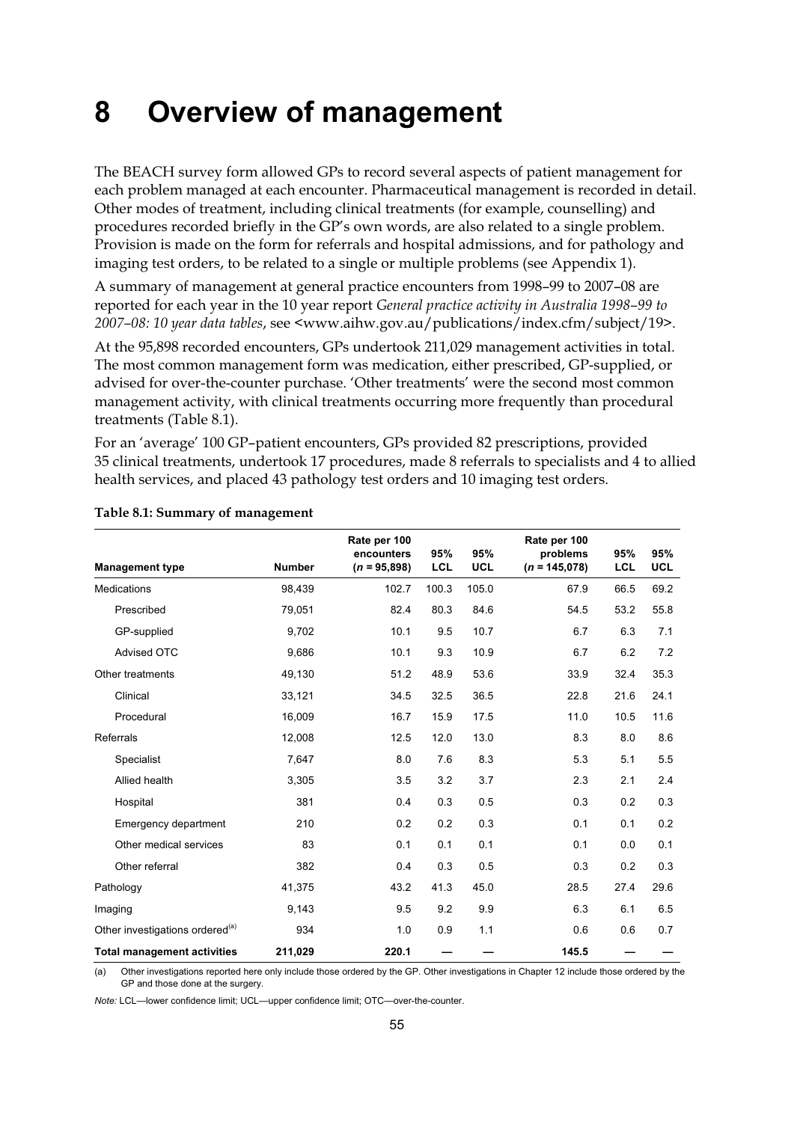## **8 Overview of management**

The BEACH survey form allowed GPs to record several aspects of patient management for each problem managed at each encounter. Pharmaceutical management is recorded in detail. Other modes of treatment, including clinical treatments (for example, counselling) and procedures recorded briefly in the GP's own words, are also related to a single problem. Provision is made on the form for referrals and hospital admissions, and for pathology and imaging test orders, to be related to a single or multiple problems (see Appendix 1).

A summary of management at general practice encounters from 1998–99 to 2007–08 are reported for each year in the 10 year report *General practice activity in Australia 1998–99 to 2007–08: 10 year data tables*, see <www.aihw.gov.au/publications/index.cfm/subject/19>.

At the 95,898 recorded encounters, GPs undertook 211,029 management activities in total. The most common management form was medication, either prescribed, GP-supplied, or advised for over-the-counter purchase. 'Other treatments' were the second most common management activity, with clinical treatments occurring more frequently than procedural treatments (Table 8.1).

For an 'average' 100 GP–patient encounters, GPs provided 82 prescriptions, provided 35 clinical treatments, undertook 17 procedures, made 8 referrals to specialists and 4 to allied health services, and placed 43 pathology test orders and 10 imaging test orders.

| <b>Management type</b>                      | <b>Number</b> | Rate per 100<br>encounters<br>$(n = 95,898)$ | 95%<br><b>LCL</b> | 95%<br><b>UCL</b> | Rate per 100<br>problems<br>$(n = 145,078)$ | 95%<br><b>LCL</b> | 95%<br><b>UCL</b> |
|---------------------------------------------|---------------|----------------------------------------------|-------------------|-------------------|---------------------------------------------|-------------------|-------------------|
| <b>Medications</b>                          | 98,439        | 102.7                                        | 100.3             | 105.0             | 67.9                                        | 66.5              | 69.2              |
| Prescribed                                  | 79,051        | 82.4                                         | 80.3              | 84.6              | 54.5                                        | 53.2              | 55.8              |
| GP-supplied                                 | 9,702         | 10.1                                         | 9.5               | 10.7              | 6.7                                         | 6.3               | 7.1               |
| <b>Advised OTC</b>                          | 9,686         | 10.1                                         | 9.3               | 10.9              | 6.7                                         | 6.2               | 7.2               |
| Other treatments                            | 49,130        | 51.2                                         | 48.9              | 53.6              | 33.9                                        | 32.4              | 35.3              |
| Clinical                                    | 33,121        | 34.5                                         | 32.5              | 36.5              | 22.8                                        | 21.6              | 24.1              |
| Procedural                                  | 16,009        | 16.7                                         | 15.9              | 17.5              | 11.0                                        | 10.5              | 11.6              |
| Referrals                                   | 12,008        | 12.5                                         | 12.0              | 13.0              | 8.3                                         | 8.0               | 8.6               |
| Specialist                                  | 7,647         | 8.0                                          | 7.6               | 8.3               | 5.3                                         | 5.1               | 5.5               |
| Allied health                               | 3,305         | 3.5                                          | 3.2               | 3.7               | 2.3                                         | 2.1               | 2.4               |
| Hospital                                    | 381           | 0.4                                          | 0.3               | 0.5               | 0.3                                         | 0.2               | 0.3               |
| Emergency department                        | 210           | 0.2                                          | 0.2               | 0.3               | 0.1                                         | 0.1               | 0.2               |
| Other medical services                      | 83            | 0.1                                          | 0.1               | 0.1               | 0.1                                         | 0.0               | 0.1               |
| Other referral                              | 382           | 0.4                                          | 0.3               | 0.5               | 0.3                                         | 0.2               | 0.3               |
| Pathology                                   | 41,375        | 43.2                                         | 41.3              | 45.0              | 28.5                                        | 27.4              | 29.6              |
| Imaging                                     | 9,143         | 9.5                                          | 9.2               | 9.9               | 6.3                                         | 6.1               | 6.5               |
| Other investigations ordered <sup>(a)</sup> | 934           | 1.0                                          | 0.9               | 1.1               | 0.6                                         | 0.6               | 0.7               |
| <b>Total management activities</b>          | 211,029       | 220.1                                        |                   |                   | 145.5                                       |                   |                   |

## **Table 8.1: Summary of management**

(a) Other investigations reported here only include those ordered by the GP. Other investigations in Chapter 12 include those ordered by the GP and those done at the surgery.

*Note:* LCL—lower confidence limit; UCL—upper confidence limit; OTC—over-the-counter.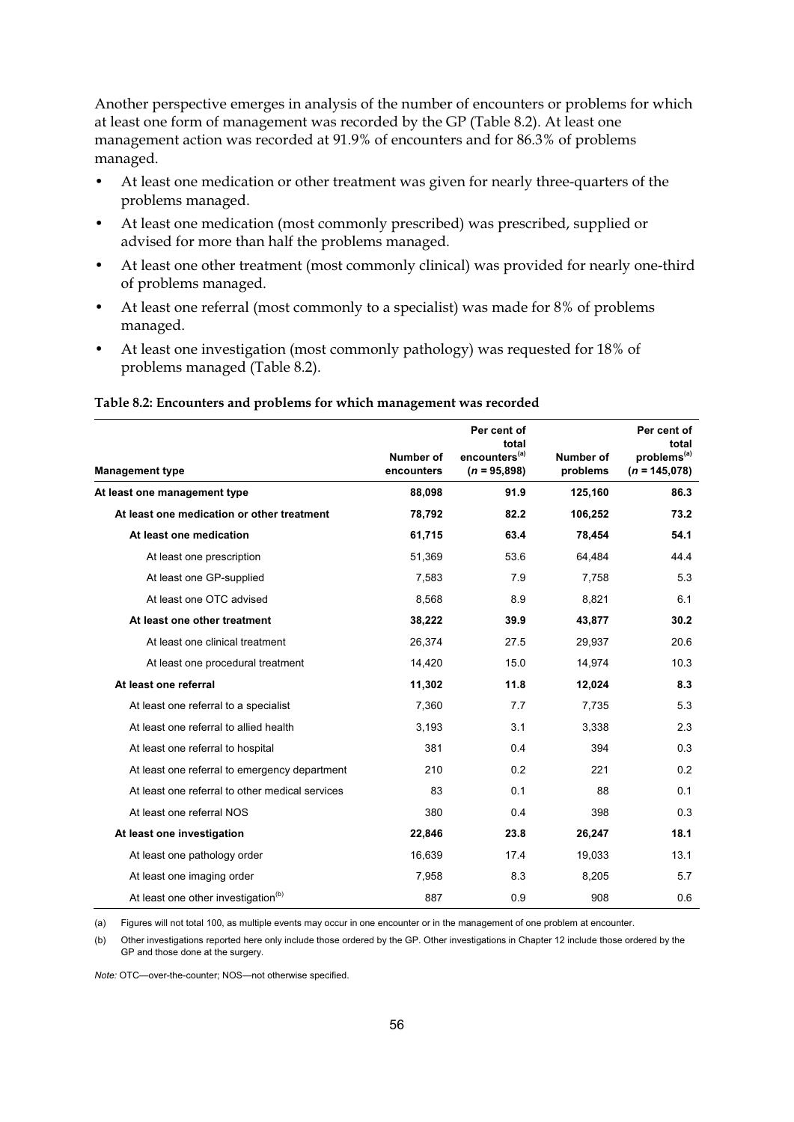Another perspective emerges in analysis of the number of encounters or problems for which at least one form of management was recorded by the GP (Table 8.2). At least one management action was recorded at 91.9% of encounters and for 86.3% of problems managed.

- At least one medication or other treatment was given for nearly three-quarters of the problems managed.
- At least one medication (most commonly prescribed) was prescribed, supplied or advised for more than half the problems managed.
- At least one other treatment (most commonly clinical) was provided for nearly one-third of problems managed.
- At least one referral (most commonly to a specialist) was made for 8% of problems managed.
- At least one investigation (most commonly pathology) was requested for 18% of problems managed (Table 8.2).

| <b>Management type</b>                          | Number of<br>encounters | Per cent of<br>total<br>encounters <sup>(a)</sup><br>$(n = 95,898)$ | Number of<br>problems | Per cent of<br>total<br>problems <sup>(a)</sup><br>$(n = 145,078)$ |  |
|-------------------------------------------------|-------------------------|---------------------------------------------------------------------|-----------------------|--------------------------------------------------------------------|--|
| At least one management type                    | 88,098                  | 91.9                                                                | 125,160               | 86.3                                                               |  |
| At least one medication or other treatment      | 78,792                  | 82.2                                                                | 106,252               | 73.2                                                               |  |
| At least one medication                         | 61,715                  | 63.4                                                                | 78,454                | 54.1                                                               |  |
| At least one prescription                       | 51,369                  | 53.6                                                                | 64,484                | 44.4                                                               |  |
| At least one GP-supplied                        | 7,583                   | 7.9                                                                 | 7,758                 | 5.3                                                                |  |
| At least one OTC advised                        | 8,568                   | 8.9                                                                 | 8,821                 | 6.1                                                                |  |
| At least one other treatment                    | 38,222                  | 39.9                                                                | 43,877                | 30.2                                                               |  |
| At least one clinical treatment                 | 26,374                  | 27.5                                                                | 29,937                | 20.6                                                               |  |
| At least one procedural treatment               | 14,420                  | 15.0                                                                | 14,974                | 10.3                                                               |  |
| At least one referral                           | 11,302                  | 11.8                                                                | 12,024                | 8.3                                                                |  |
| At least one referral to a specialist           | 7,360                   | 7.7                                                                 | 7,735                 | 5.3                                                                |  |
| At least one referral to allied health          | 3,193                   | 3.1                                                                 | 3,338                 | 2.3                                                                |  |
| At least one referral to hospital               | 381                     | 0.4                                                                 | 394                   | 0.3                                                                |  |
| At least one referral to emergency department   | 210                     | 0.2                                                                 | 221                   | 0.2                                                                |  |
| At least one referral to other medical services | 83                      | 0.1                                                                 | 88                    | 0.1                                                                |  |
| At least one referral NOS                       | 380                     | 0.4                                                                 | 398                   | 0.3                                                                |  |
| At least one investigation                      | 22,846                  | 23.8                                                                | 26,247                | 18.1                                                               |  |
| At least one pathology order                    | 16,639                  | 17.4                                                                | 19,033                | 13.1                                                               |  |
| At least one imaging order                      | 7,958                   | 8.3                                                                 | 8,205                 | 5.7                                                                |  |
| At least one other investigation <sup>(b)</sup> | 887                     | 0.9                                                                 | 908                   | 0.6                                                                |  |

## **Table 8.2: Encounters and problems for which management was recorded**

(a) Figures will not total 100, as multiple events may occur in one encounter or in the management of one problem at encounter.

(b) Other investigations reported here only include those ordered by the GP. Other investigations in Chapter 12 include those ordered by the GP and those done at the surgery.

*Note:* OTC—over-the-counter; NOS—not otherwise specified.